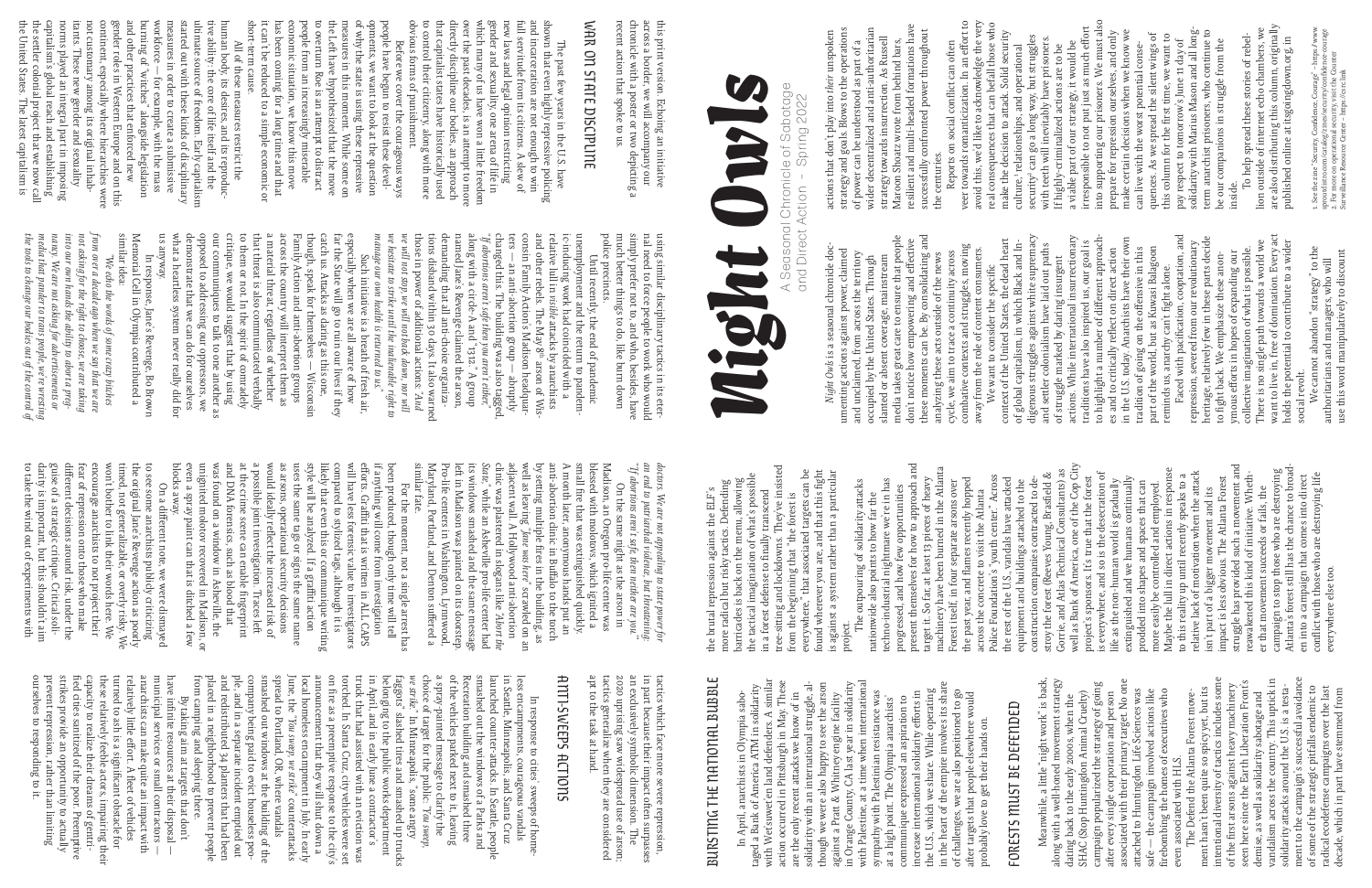Night Owls

these moments can be. By consolidating and fication, cooptation, and want to live in, free of domination. Every act media takes great care to ensure that people<br>don't notice how empowering and effective<br>these moments can be. By consolidating and<br>analyzing these acts outside of the news media takes great care to ensure that people digenous struggles against white supremacy actions. While international insurrectionary fferent approachin the U.S. today. Anarchists have their own repression, severed from our revolutionary<br>heritage, relatively few in these parts decide heritage, relatively few in these parts decide context of the United States, the dead heart There is no single path towards a world we holds the potential to contribute to a wider traditions have also inspired us, our goal is repression, severed from our revolutionary There is no single path towards a world we want to live in, free of domination. Every ac<br>holds the potential to contribute to a wider combative contexts and struggles, moving of global capitalism, in which Black and Inttler colonialism have laid out paths *Night Owls* is a seasonal chronicle doc-Night Owls is a seasonal chronicle docpart of the world, but as Kuwasi Balagoon collective imagination of what is possible. We cannot abandon "strategy" to the umenting actions against power, claimed<br>and unclaimed, from across the territory<br>occupied by the United States. Through<br>slanted or absent coverage, mainstream umenting actions against power, claimed flect on direct action ffensive in this We cannot abandon "strategy" to the<br>authoritarians and managers, who will<br>use this word manipulatively to discount away from the role of content consumers. collective imagination of what is possible. and unclaimed, from across the territory cycle, we aim to trace a continuity across fforts in hopes of expanding our analyzing these acts outside of the news occupied by the United States. Through slanted or absent coverage, mainstream fight back. We emphasize these anonof struggle marked by daring insurgent authoritarians and managers, who will fic fight alone. don't notice how empowering and e We want to consider the speci to highlight a number of di tradition of going on the o reminds us, anarchy can't es and to critically re Faced with paci revolt. social revolt. to ymous e and se social

## WAR ON STATE DISCIPLINE WAR ON STATE DISCIPLINE

use this word manipulatively to discount

this print version. Echoing an initiative<br>across a border, we will accompany our<br>chronide with a poster or two depicting a<br>recent action that spoke to us. recent action that spoke to us. chronicle with a poster or two depicting a across a border, we will accompany our this print version. Echoing an initiative

and incarceration are not enough to winful servitude from its citizens. A slew of nul servitude from its citizens. A slew of new laws and legal opinion restricting gender and sexuality, one arena of life in which many of u that capitalist states have historically used<br>to control their citizenry, along with more<br>obvious forms of punishment. over the past decades, is an attempt to moodirectly discipline our bodies, an approach which many of us have won a li shown that even highly repressive policing obvious forms of punishment. to control their citizenry, along with more that capitalist states have historically used directly discipline our bodies, an approach over the past decades, is an a gender and sexuality, one arena of life in new laws and legal opinion restricting full servitude from its citizens. A slew of and incarceration are not enough to win shown that even highly repressive policing The past few years in the U.S. have The past few years in the U.S. have empt to more le freedom

resilient and multi-headed formations have strategy towards insurrection. As Russell<br>Maroon Shoatz wrote from behind bars,<br>resilient and multi-headed formations have actions that don't play into *their* unspoken strategy and goals. Blows to the operations of power can be understood as part of a wider decentralized and anti-authoritarian wider decentralized and anti-authoritarian strategy and goals. Blows to the operations successfully confronted power throughout actions that don't play into *their* unspoken successfully confronted power throughout strategy towards insurrection. As Russell Maroon Shoatz wrote from behind bars, of power can be understood as part of a the centuries. the centuries.

Reports on social con flict can o ften veer towards romanticization. In an e veer towards romanticization. In an effort to<br>avoid this, we'd like to acknowledge the very<br>real consequences that can befall those who<br>make the decision to attack. Solid security avoid this, we'd like to acknowledge the very real consequences that can befall those who make the decision to a ttack. Solid security

measures in order to create a submissive<br>workforce — for example, with the mass<br>burning of "witches" alongside legislation<br>and other practices that enforced new<br>gender roles in Western Europe and on this<br>continent, especi human body, its desires, and its reproductive ability: the core of life itself and the ultimate source of freedom. Early capitalism started out with these kinds of disciplinary burning of "witches" alongside legislation workforce — for example, with the mass short-term cause. the United States. The latest capitalism is the se ttcapitalism's global reach and establishing norms played an integral part in imposing itants. These new gender and sexuality not customary among its original inhabcontinent, especially where hierarchies were gender roles in Western Europe and on this and other practices that enforced new measures in order to create a submissive started out with these kinds of disciplinary ultimate source of freedom. Early capitalism tive ability: the core of life itself and the human body, its desires, and its reproducshort-term cause. All of these measures restrict the All of these measures restrict the ler colonial project that we now call

> police precincts police precincts. much be ttsimply prefer not to, and who, besides, have nal need to force people to work who would using similar disciplinary tactics in its eterer things to do, like burn down

*we hesitate to strike until the inalienable right to*  we will not stop, we will not back down, nor will consin Family Action's Madison headquar-<br>ters — an anti-abortion group — abruptly<br>changed this. The building was also tagged,<br>"*ff abortions aren't safe then you aren't either*,"<br>along with a circle-A and "1312." A group<br> and other rebels. The May 8th arson of Wisrelative lull in ic-inducing work had coincided with a unemployment and the return to pandem unemployment and the return to pandem*manage our own health is returned to us."* Until recently, the end of pandemic Until recently, the end of pandemic *visible* a ttacks by anarchists arson of Wis-

that threat is also communicated verbally<br>to them or not. In the spirit of comradely<br>critique, we would suggest that by using<br>our communiques to talk to one another as<br>our communiques to talk to one another as **KRANGUE** sn opposed to addressing our oppressors, we<br>demonstrate that we can do for ourselves<br>what a heartless system never really did for Family Action and anti-abortion groups<br>across the country will interpret them a<br>a material threat, regardless of whether though, speak for themselves -- Wisconsin us anyway. what a heartless system never really did for demonstrate that we can do for ourselves opposed to addressing our oppressors, we our communiques to talk to one another as critique, we would suggest that by using to them or not. In the spirit of comradely that threat is also communicated verbally a material threat, regardless of whether across the country will interpret them as Family Action and anti-abortion groups though, speak for themselves — Wisconsin catch us. A far the State will go to ruin our lives if they especially when we are all aware of how Such initiative is a breath of fresh air, a acks as daring as this one,  $\rm{a}$ s

similar idea similar idea: Memorial Cell in Olympia contributed a In response, Jane's Revenge, Bo Brown In response, Jane's Revenge, Bo Brown

nancy. We are not asking for advertisements or<br>media that pander to trans people, we're wresting<br>the tools to change our bodies out of the control of not asking for the right to choose, we are taking<br>into our own hands the ability to abort a pregfrom over a decade ago when we say th *from over a decade ago when we say that we are the tools to change our bodies out of the control of into our own hands the ability to abort a pregmedia that pander to trans people, we're wresting nancy. We are not asking for advertisements or not asking for the right to choose, we are taking*  "We echo the words of some crazy bitches *"We echo the words of some crazy bitches*   $at we are$ 

> doctors. We are not appealing to state power for<br>an end to parriarchal violence, but threatening-<br>"If abortions aren't safe, then neither are you."<br>"On the same might as the arson in<br> $N_{\rm s}$ -is---------------------------*"'If abortions aren't safe, then neither are you.'" an end to patriarchal violence, but threatening: doctors. We are not appealing to state power for*

similar tate well as leaving similar fate. Maryland, Portland, and Denton su Pro-life centers in Washington, Lynnwood, le ftits windows smashed and the same message *State,"*clinic was plastered in slogans like adjacent wall. A Hollywood anti-abortion by se ttanti-abortion clinic in Bu A month later, anonymous hands put an small fiblessed with molotovs, which ignited a Madison, an Oregon pro-life center was in Madison was painted on its doorstep. On the same night as the arson in while an Asheville pro-life center had ing multiple re that was extinguished quickly. *"Jane was here"*⋻ res in the building, as ffalo to the torch scrawled on an ffered a *"Abort the* 

a possible joint investigation. Traces left was found on a window in Asheville, the would ideally re will have less forensic value to investigators blocks away. On a di even a spray paint can that is ditched a few unignited molotov recovered in Madison, or and DNA forensics, such as blood that at the crime scene can enable a possible joint investigation. Traces le as arsons, operational security decisions uses the same tags or signs the same name style will be analyzed. If a gra likely that even this or communique writing compared to stylized tags, although it is e if anything will come from investigation been produced, though only time will tell fforts. Gra For the moment, not a single arrest has  $\boxplus$ ti that is wri  $\Rightarrow$ ect the increased risk of a en in ALL CAPS ffiti action fingerprint  $\Omega$ 

guise of a strategic critique. Critical soli-<br>darity is important, but this shouldn't aim<br>to take the wind out of experiments with different decisions around risk, under the fear of repression onto those who make encourage anarchists to not project their won't bother to link their words here. won't bother to link their words here. We to take the wind out of experiments with darity is important, but this shouldn't aim guise of a strategic critique. Critical solifear of repression onto those who make encourage anarchists to not project their timed, not generalizable, or overly risky. We the original Jane's Revenge action as poorly to see some anarchists publicly criticizing fferent decisions around risk, under the fferent note, we were dismayed  $\mathbb{W}\mathrm{e}$ 

Before we cover the courageous ways the Le ftmeasures in this moment. While some on of why the state is using these repressive opments, we want to look at the question people have begun to resist these devel have hypothesized that the move to overturn Roe is an a t empt to distract it can't be reduced to a simple economic or has been coming for a long time and that economic situation, we know this move people from an increasingly miserable

> less encampments, courageous vandals<br>in Seattle, Minneapolis, and Santa Cruz less encampments, courageous vandals<br>in Seattle, Minneapolis, and Santa Cru le, Minneapolis, and Santa Cruz

In April, anarchists in Olympia saboraged a Bank of America ATM in solidarity with Wet'suwet'en land defenders. A similar action occurred in Pittsburgh in May. These with Wet'suwet'en land defenders. A similar ttsburgh in May. These with Palestine, at a time when international though we were also happy to see the arson in Orange County, CA last year in solidarity in the heart of the empire involves its share solidarity with an international struggle, altaged a Bank of America ATM in solidarity

Recreation building and smashed three<br>of the vehicles parked next to it, leaving placed in a neighborhood to prevent people ple, and in a separate incident emptied out June, the belonging to the public works department municipal services or small contractorshave in fifrom camping and sleeping there. and redistributed 34 planters that had been company being paid to evict houseless peosmashed out windows at the building of the spread to Portland, OR, where vandals local homeless encampment in July. In early announcement that they will shut down a *we strike."*<br>faggots"<br>in April,<br>truck thae<br>tre as torched. In Santa Cruz, city vehicles were set truck that had assisted with an eviction was in April, and in early June a contractor's faggots" slashed tires and smashed up trucks choice of target for the public: a spray-painted message to clarify the of the vehicles parked next to it, leaving Recreation building and smashed three smashed out the windows of a Parks and By taking aim at targets that don't re as a preemptive response to the city's nite resources at their disposal *"You sweep, we strike"* In Minneapolis, "some angry countera *"You sweep,*  ttacks  $\overline{\phantom{a}}$  $\overline{\phantom{a}}$ 

accourse the only recent attacks we know of in<br>are the only recent attacks we know of in<br>solidarity with an international struggle, al-<br>against a Prat & Whitney engine facility<br>in Orange County, CA last year in solidarity<br> communique expressed an aspiration to<br>increase international solidarity efforts in<br>the U.S., which we share. While operating<br>in the heart of the empire involves its share<br>of challenges, we are also positioned to go<br>after t the U.S., which we share. While operating of challenges, we are also positioned to go sympathy with Palestinian resistance was after targets that people elsewhere would In April, anarchists in Olympia sabottacks we know of in tt & Whitney engine facility at a high point. The Olympia anarchists' communique expressed an aspiration to probably love to get their hands on. increase international solidarity e action occurred in Pi are the only recent a against a Pra

| FORESTS MUST BE DEFENDED                                                                  |
|-------------------------------------------------------------------------------------------|
| Meanwhile, a little "night work" is back,<br>along with a well-honed movement strategy    |
| SHAC (Stop Huntingdon Animal Cruelty)<br>dating back to the early 2000s, when the         |
| campaign popularized the strategy of going                                                |
| associated with their primary target. No one<br>after every single corporation and person |
| attached to Huntingdon Life Sciences was                                                  |
| safe — the campaign involved actions like                                                 |
| firebombing the homes of executives who                                                   |
| even associated with HLS.                                                                 |
| The Defend the Atlanta Forest move-                                                       |
| ment hasn't been quite so spicy yet, but its                                              |
| intentional diversity of tactics includes some                                            |
| of the first arsons against heavy machinery                                               |
| seen here since the Earth Liberation Front's                                              |
| demise, as well as solidarity sabotage and                                                |
| vandalism across the country. This uptick in                                              |
| solidarity attacks around the U.S. is a testa-                                            |
| ment to the campaign's successful avoidance                                               |
| of some of the strategic pitfalls endemic to                                              |
| radical ecodefense campaigns over the last                                                |
| decade, which in part have stemmed from                                                   |

ocure, and and so recultive different constants of the Cop City<br>project's sponsors. It's true that the forest<br>is everywhere, and so is the desecration of<br>is everywhere, and so is the desecration of<br>extinguished and we huma present themselves for how to approach and well as Bank of America, one of the Cop City struggle has provided such a movement and machinery have been burned in the Atlanta campaign to stop those who are destroying<br>Atlanta's forest still has the chance to broad-Atlanta's forest still has the chance to broad-Maybe the lull in direct actions in response Gorrie, and Atlas Technical Consultants) as campaign to stop those who are destroying ttacked<br>to the<br>d to de-<br>asfield & is everywhere, and so is the desecration of flict with those who are destroying life Police Foundation's "youth center." Across to this reality up until recently speaks to a reawakened this kind of initiative. Whethen into a campaign that comes into direct<br>conflict with those who are destroying life en into a campaign that comes into direct project's sponsors. It's true that the forest extinguished and we humans continually impact is less obvious. The Atlanta Forest The outpouring of solidarity attacks<br>nationwide also points to how far the techno-industrial night<br>mare we're in has techno-industrial nightmare we're in has target it. So far, at least 13 pieces of heavy flames recently hopped Forest itself, in four separate arsons over construction companies contracted to delife as the non-human world is gradually ttached to the prodded into shapes and spaces that can more easily be controlled and employed. progressed, and how few opportunities er that movement succeeds or fails, the isn't part of a bigger movement and its er that movement succeeds or fails, the across the concrete to visit the Atlanta nationwide also points to how far the relative lack of motivation when the a stroy the forest (Reeves Young, Bras The outpouring of solidarity a the rest of the U.S., vandals have a equipment and buildings a everywhere else too. everywhere else too. the past year, and project.

| security" can go a long way, but struggles<br>culture, <sup>1</sup> relationships, and operational                           |
|------------------------------------------------------------------------------------------------------------------------------|
| with teeth will inevitably have prisoners.                                                                                   |
| If highly-criminalized actions are to be                                                                                     |
| a viable part of our strategy, it would be                                                                                   |
| into supporting our prisoners. We must also<br>irresponsible to not put just as much effort                                  |
| prepare for repression ourselves, and only                                                                                   |
| make certain decisions when we know we<br>can live with the worst potential conse                                            |
| quences. As we spread the silent wings of                                                                                    |
| this column for the first time, we want to                                                                                   |
| pay respect to tomorrow's June 11 day of                                                                                     |
| solidarity with Marius Mason and all long-                                                                                   |
| term anarchist prisoners, who continue to                                                                                    |
| be our companions in struggle from the                                                                                       |
| inside.                                                                                                                      |
| To help spread these stories of rebel-                                                                                       |
| lion outside of internet echo chambers, we                                                                                   |
| are also distributing this column, originally                                                                                |
| published online at itsgoingdown.org, in                                                                                     |
|                                                                                                                              |
| 1. See the zine "Security, Confidence, Courage" - https://www.<br>sproutdistro.com/catalog/zines/security/confidence-courage |
| 2. For more on operational security, visit the Counter                                                                       |
| Surveillance Resource Center - https://csrc.link                                                                             |

A Seasonal Chronicle of Sabotage Spring 2022 and Direct Action – Spring 2022Action and Direct

in part because their impact o

tactics which face more severe repression,

en surpasses

tactics which face more severe repression,<br>in part because their impact often surpasses<br>an exclusively symbolic dimension. The<br>2020 uprising saw widespread use of arson;<br>tactics generalize when they are considered<br>apt to t

ANTI-SWEEPS ACTIONS

**ATTI-SWEEPS ACTIONS** 

apt to the task at hand.

tactics generalize when they are considered 2020 uprising saw widespread use of arson; an exclusively symbolic dimension. The

In response to cities' sweeps of home-

In response to cities' sweeps of home-

launched counter-a

a

acks. In Sea

ttle, people

a Cruz

prevent repression, rather than limiting  $\Rightarrow$ municipal services or small contractors ourselves to responding to it. strikes provide an opportunity to actually capacity to realize their dreams of gentrithese relatively feeble actors, impairing their turned to ash is a signi relatively li anarchists can make quite an impact with ed cities sanitized of the poor. Preemptive ttle e ffort. A flficant obstacle for eet of vehicles

BURSTING THE NATIONAL BUBBLE

BURSTING THE NATIONAL BUBBLE

the brutal repression against the ELF's more radical but risky tactics. Defending barricades is back on the menu, allowing the tactical imagination of what's possible in a forest defense to finally transcend tree-si tting and lockdowns. They've insisted from the beginning that "the forest is everywhere," that associated targets can be found wherever you are, and that this fight is against a system rather than a particular